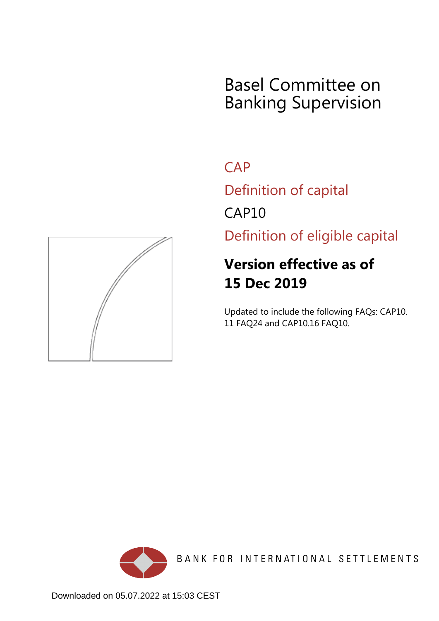# Basel Committee on Banking Supervision

**CAP** 

Definition of capital

CAP10

Definition of eligible capital

## **Version effective as of 15 Dec 2019**

Updated to include the following FAQs: CAP10. 11 FAQ24 and CAP10.16 FAQ10.



BANK FOR INTERNATIONAL SETTLEMENTS

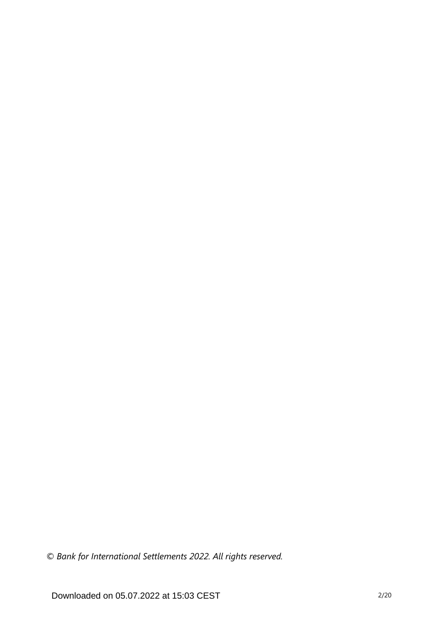*© Bank for International Settlements 2022. All rights reserved.*

Downloaded on 05.07.2022 at 15:03 CEST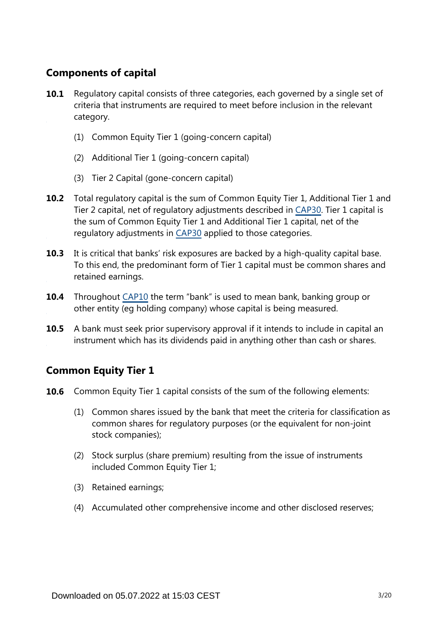## **Components of capital**

- Regulatory capital consists of three categories, each governed by a single set of criteria that instruments are required to meet before inclusion in the relevant category. **10.1**
	- (1) Common Equity Tier 1 (going-concern capital)
	- (2) Additional Tier 1 (going-concern capital)
	- (3) Tier 2 Capital (gone-concern capital)
- **10.2** Total regulatory capital is the sum of Common Equity Tier 1, Additional Tier 1 and Tier 2 capital, net of regulatory adjustments described in [CAP30.](https://www.bis.org/basel_framework/chapter/CAP/30.htm?tldate=20250101&inforce=20191215&published=20191215) Tier 1 capital is the sum of Common Equity Tier 1 and Additional Tier 1 capital, net of the regulatory adjustments in [CAP30](https://www.bis.org/basel_framework/chapter/CAP/30.htm?tldate=20250101&inforce=20191215&published=20191215) applied to those categories.
- **10.3** It is critical that banks' risk exposures are backed by a high-quality capital base. To this end, the predominant form of Tier 1 capital must be common shares and retained earnings.
- **10.4** Throughout [CAP10](https://www.bis.org/basel_framework/chapter/CAP/10.htm?tldate=20250101&inforce=20191215&published=20200605) the term "bank" is used to mean bank, banking group or other entity (eg holding company) whose capital is being measured.
- A bank must seek prior supervisory approval if it intends to include in capital an instrument which has its dividends paid in anything other than cash or shares. **10.5**

## **Common Equity Tier 1**

- **10.6** Common Equity Tier 1 capital consists of the sum of the following elements:
	- (1) Common shares issued by the bank that meet the criteria for classification as common shares for regulatory purposes (or the equivalent for non-joint stock companies);
	- (2) Stock surplus (share premium) resulting from the issue of instruments included Common Equity Tier 1;
	- (3) Retained earnings;
	- (4) Accumulated other comprehensive income and other disclosed reserves;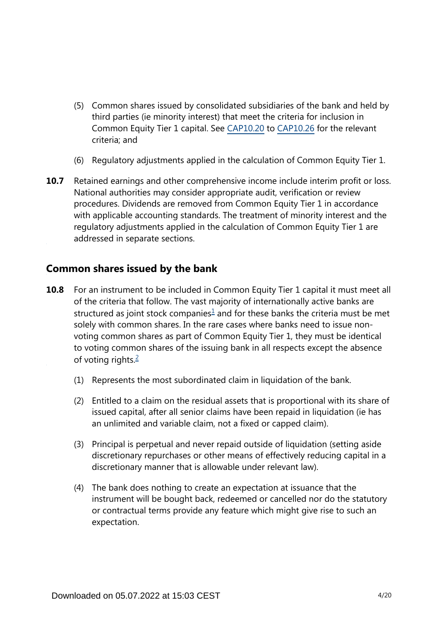- (5) Common shares issued by consolidated subsidiaries of the bank and held by third parties (ie minority interest) that meet the criteria for inclusion in Common Equity Tier 1 capital. See [CAP10.20](https://www.bis.org/basel_framework/chapter/CAP/10.htm?tldate=20250101&inforce=20191215&published=20200605#paragraph_CAP_10_20191215_10_20) to [CAP10.26](https://www.bis.org/basel_framework/chapter/CAP/10.htm?tldate=20250101&inforce=20191215&published=20200605#paragraph_CAP_10_20191215_10_26) for the relevant criteria; and
- (6) Regulatory adjustments applied in the calculation of Common Equity Tier 1.
- Retained earnings and other comprehensive income include interim profit or loss. National authorities may consider appropriate audit, verification or review procedures. Dividends are removed from Common Equity Tier 1 in accordance with applicable accounting standards. The treatment of minority interest and the regulatory adjustments applied in the calculation of Common Equity Tier 1 are addressed in separate sections. **10.7**

### **Common shares issued by the bank**

- <span id="page-3-1"></span><span id="page-3-0"></span>**10.8** For an instrument to be included in Common Equity Tier 1 capital it must meet all of the criteria that follow. The vast majority of internationally active banks are structured as joint stock companies $1$  and for these banks the criteria must be met solely with common shares. In the rare cases where banks need to issue nonvoting common shares as part of Common Equity Tier 1, they must be identical to voting common shares of the issuing bank in all respects except the absence of voting rights. $\frac{2}{3}$  $\frac{2}{3}$  $\frac{2}{3}$ 
	- (1) Represents the most subordinated claim in liquidation of the bank.
	- (2) Entitled to a claim on the residual assets that is proportional with its share of issued capital, after all senior claims have been repaid in liquidation (ie has an unlimited and variable claim, not a fixed or capped claim).
	- (3) Principal is perpetual and never repaid outside of liquidation (setting aside discretionary repurchases or other means of effectively reducing capital in a discretionary manner that is allowable under relevant law).
	- (4) The bank does nothing to create an expectation at issuance that the instrument will be bought back, redeemed or cancelled nor do the statutory or contractual terms provide any feature which might give rise to such an expectation.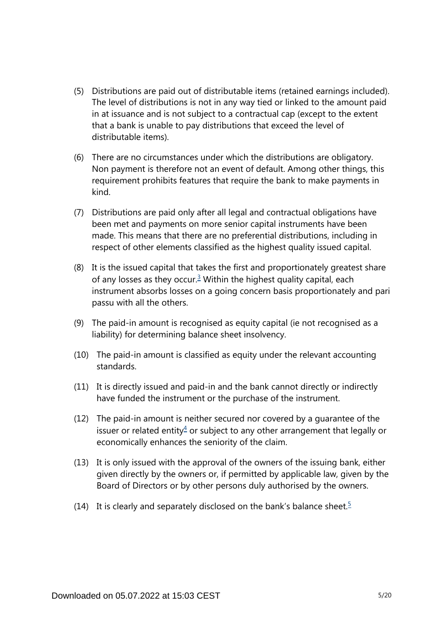- (5) Distributions are paid out of distributable items (retained earnings included). The level of distributions is not in any way tied or linked to the amount paid in at issuance and is not subject to a contractual cap (except to the extent that a bank is unable to pay distributions that exceed the level of distributable items).
- (6) There are no circumstances under which the distributions are obligatory. Non payment is therefore not an event of default. Among other things, this requirement prohibits features that require the bank to make payments in kind.
- (7) Distributions are paid only after all legal and contractual obligations have been met and payments on more senior capital instruments have been made. This means that there are no preferential distributions, including in respect of other elements classified as the highest quality issued capital.
- <span id="page-4-0"></span>(8) It is the issued capital that takes the first and proportionately greatest share of any losses as they occur. $3$  Within the highest quality capital, each instrument absorbs losses on a going concern basis proportionately and pari passu with all the others.
- (9) The paid-in amount is recognised as equity capital (ie not recognised as a liability) for determining balance sheet insolvency.
- (10) The paid-in amount is classified as equity under the relevant accounting standards.
- (11) It is directly issued and paid-in and the bank cannot directly or indirectly have funded the instrument or the purchase of the instrument.
- <span id="page-4-1"></span>(12) The paid-in amount is neither secured nor covered by a guarantee of the issuer or related entity $4$  or subject to any other arrangement that legally or economically enhances the seniority of the claim.
- (13) It is only issued with the approval of the owners of the issuing bank, either given directly by the owners or, if permitted by applicable law, given by the Board of Directors or by other persons duly authorised by the owners.
- <span id="page-4-2"></span>(14) It is clearly and separately disclosed on the bank's balance sheet.<sup>[5](#page-5-4)</sup>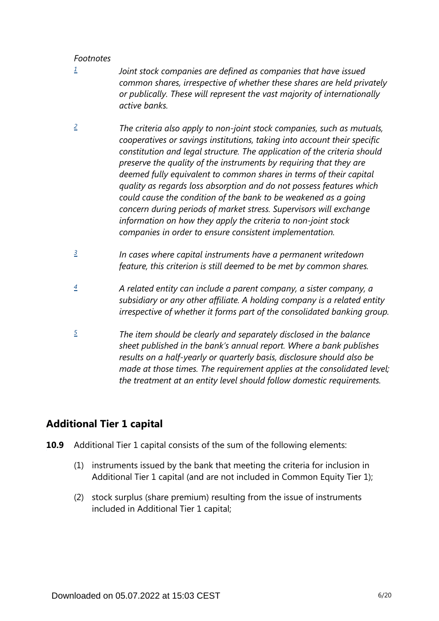- <span id="page-5-0"></span>*Joint stock companies are defined as companies that have issued common shares, irrespective of whether these shares are held privately or publically. These will represent the vast majority of internationally active banks. [1](#page-3-0)*
- <span id="page-5-1"></span>*The criteria also apply to non-joint stock companies, such as mutuals, cooperatives or savings institutions, taking into account their specific constitution and legal structure. The application of the criteria should preserve the quality of the instruments by requiring that they are deemed fully equivalent to common shares in terms of their capital quality as regards loss absorption and do not possess features which could cause the condition of the bank to be weakened as a going concern during periods of market stress. Supervisors will exchange information on how they apply the criteria to non-joint stock companies in order to ensure consistent implementation. [2](#page-3-1)*
- <span id="page-5-2"></span>*In cases where capital instruments have a permanent writedown feature, this criterion is still deemed to be met by common shares. [3](#page-4-0)*
- <span id="page-5-3"></span>*A related entity can include a parent company, a sister company, a subsidiary or any other affiliate. A holding company is a related entity irrespective of whether it forms part of the consolidated banking group. [4](#page-4-1)*
- <span id="page-5-4"></span>*The item should be clearly and separately disclosed in the balance sheet published in the bank's annual report. Where a bank publishes results on a half-yearly or quarterly basis, disclosure should also be made at those times. The requirement applies at the consolidated level; the treatment at an entity level should follow domestic requirements. [5](#page-4-2)*

## **Additional Tier 1 capital**

- **10.9** Additional Tier 1 capital consists of the sum of the following elements:
	- (1) instruments issued by the bank that meeting the criteria for inclusion in Additional Tier 1 capital (and are not included in Common Equity Tier 1);
	- (2) stock surplus (share premium) resulting from the issue of instruments included in Additional Tier 1 capital;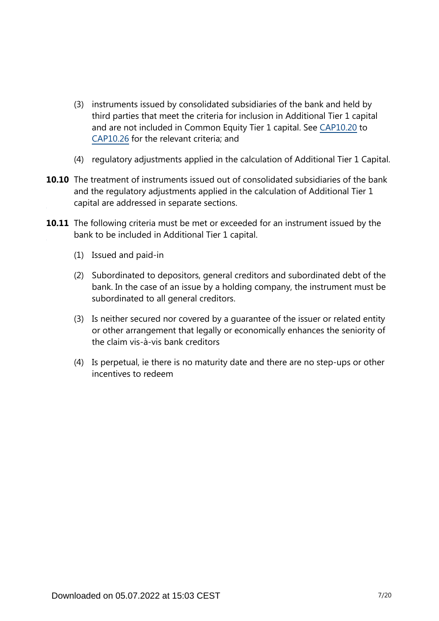- (3) instruments issued by consolidated subsidiaries of the bank and held by third parties that meet the criteria for inclusion in Additional Tier 1 capital and are not included in Common Equity Tier 1 capital. See [CAP10.20](https://www.bis.org/basel_framework/chapter/CAP/10.htm?tldate=20250101&inforce=20191215&published=20200605#paragraph_CAP_10_20191215_10_20) to [CAP10.26](https://www.bis.org/basel_framework/chapter/CAP/10.htm?tldate=20250101&inforce=20191215&published=20200605#paragraph_CAP_10_20191215_10_26) for the relevant criteria; and
- (4) regulatory adjustments applied in the calculation of Additional Tier 1 Capital.
- **10.10** The treatment of instruments issued out of consolidated subsidiaries of the bank and the regulatory adjustments applied in the calculation of Additional Tier 1 capital are addressed in separate sections.
- **10.11** The following criteria must be met or exceeded for an instrument issued by the bank to be included in Additional Tier 1 capital.
	- (1) Issued and paid-in
	- (2) Subordinated to depositors, general creditors and subordinated debt of the bank. In the case of an issue by a holding company, the instrument must be subordinated to all general creditors.
	- (3) Is neither secured nor covered by a guarantee of the issuer or related entity or other arrangement that legally or economically enhances the seniority of the claim vis-à-vis bank creditors
	- (4) Is perpetual, ie there is no maturity date and there are no step-ups or other incentives to redeem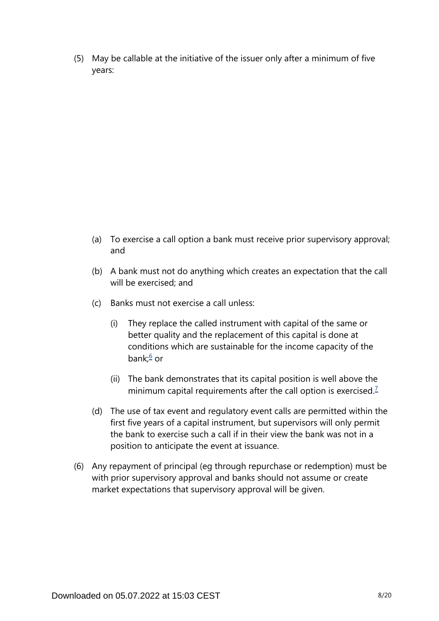(5) May be callable at the initiative of the issuer only after a minimum of five years:

- (a) To exercise a call option a bank must receive prior supervisory approval; and
- (b) A bank must not do anything which creates an expectation that the call will be exercised; and
- <span id="page-7-0"></span>(c) Banks must not exercise a call unless:
	- (i) They replace the called instrument with capital of the same or better quality and the replacement of this capital is done at conditions which are sustainable for the income capacity of the bank;<sup>[6](#page-11-0)</sup> or
	- (ii) The bank demonstrates that its capital position is well above the minimum capital requirements after the call option is exercised.<sup>[7](#page-11-1)</sup>
- <span id="page-7-1"></span>(d) The use of tax event and regulatory event calls are permitted within the first five years of a capital instrument, but supervisors will only permit the bank to exercise such a call if in their view the bank was not in a position to anticipate the event at issuance.
- (6) Any repayment of principal (eg through repurchase or redemption) must be with prior supervisory approval and banks should not assume or create market expectations that supervisory approval will be given.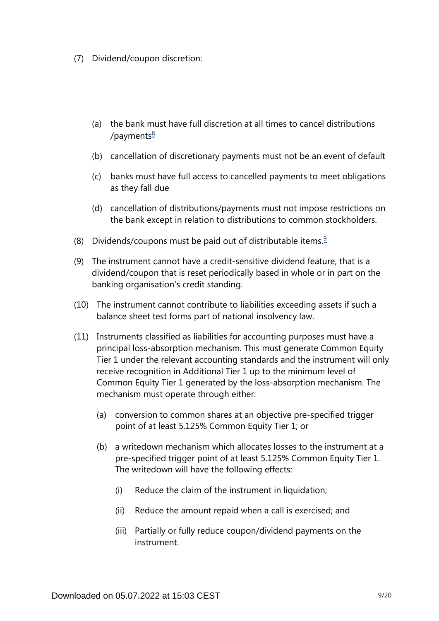- <span id="page-8-0"></span>(7) Dividend/coupon discretion:
	- (a) the bank must have full discretion at all times to cancel distributions /payments $\frac{8}{2}$  $\frac{8}{2}$  $\frac{8}{2}$
	- (b) cancellation of discretionary payments must not be an event of default
	- (c) banks must have full access to cancelled payments to meet obligations as they fall due
	- (d) cancellation of distributions/payments must not impose restrictions on the bank except in relation to distributions to common stockholders.
- <span id="page-8-1"></span>(8) Dividends/coupons must be paid out of distributable items. $9$
- (9) The instrument cannot have a credit-sensitive dividend feature, that is a dividend/coupon that is reset periodically based in whole or in part on the banking organisation's credit standing.
- (10) The instrument cannot contribute to liabilities exceeding assets if such a balance sheet test forms part of national insolvency law.
- (11) Instruments classified as liabilities for accounting purposes must have a principal loss-absorption mechanism. This must generate Common Equity Tier 1 under the relevant accounting standards and the instrument will only receive recognition in Additional Tier 1 up to the minimum level of Common Equity Tier 1 generated by the loss-absorption mechanism. The mechanism must operate through either:
	- (a) conversion to common shares at an objective pre-specified trigger point of at least 5.125% Common Equity Tier 1; or
	- (b) a writedown mechanism which allocates losses to the instrument at a pre-specified trigger point of at least 5.125% Common Equity Tier 1. The writedown will have the following effects:
		- (i) Reduce the claim of the instrument in liquidation;
		- (ii) Reduce the amount repaid when a call is exercised; and
		- (iii) Partially or fully reduce coupon/dividend payments on the instrument.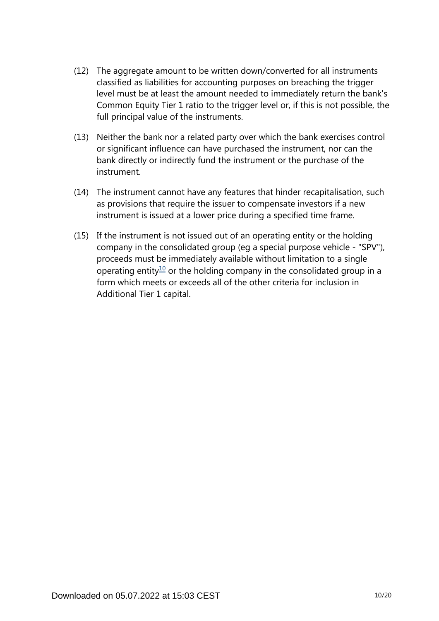- (12) The aggregate amount to be written down/converted for all instruments classified as liabilities for accounting purposes on breaching the trigger level must be at least the amount needed to immediately return the bank's Common Equity Tier 1 ratio to the trigger level or, if this is not possible, the full principal value of the instruments.
- (13) Neither the bank nor a related party over which the bank exercises control or significant influence can have purchased the instrument, nor can the bank directly or indirectly fund the instrument or the purchase of the instrument.
- (14) The instrument cannot have any features that hinder recapitalisation, such as provisions that require the issuer to compensate investors if a new instrument is issued at a lower price during a specified time frame.
- <span id="page-9-0"></span>(15) If the instrument is not issued out of an operating entity or the holding company in the consolidated group (eg a special purpose vehicle - "SPV"), proceeds must be immediately available without limitation to a single operating entity<sup>[10](#page-11-4)</sup> or the holding company in the consolidated group in a form which meets or exceeds all of the other criteria for inclusion in Additional Tier 1 capital.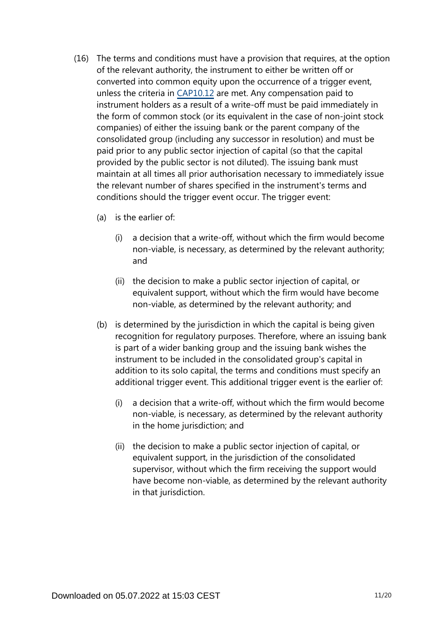- (16) The terms and conditions must have a provision that requires, at the option of the relevant authority, the instrument to either be written off or converted into common equity upon the occurrence of a trigger event, unless the criteria in [CAP10.12](https://www.bis.org/basel_framework/chapter/CAP/10.htm?tldate=20250101&inforce=20191215&published=20200605#paragraph_CAP_10_20191215_10_12) are met. Any compensation paid to instrument holders as a result of a write-off must be paid immediately in the form of common stock (or its equivalent in the case of non-joint stock companies) of either the issuing bank or the parent company of the consolidated group (including any successor in resolution) and must be paid prior to any public sector injection of capital (so that the capital provided by the public sector is not diluted). The issuing bank must maintain at all times all prior authorisation necessary to immediately issue the relevant number of shares specified in the instrument's terms and conditions should the trigger event occur. The trigger event:
	- (a) is the earlier of:
		- (i) a decision that a write-off, without which the firm would become non-viable, is necessary, as determined by the relevant authority; and
		- (ii) the decision to make a public sector injection of capital, or equivalent support, without which the firm would have become non-viable, as determined by the relevant authority; and
	- (b) is determined by the jurisdiction in which the capital is being given recognition for regulatory purposes. Therefore, where an issuing bank is part of a wider banking group and the issuing bank wishes the instrument to be included in the consolidated group's capital in addition to its solo capital, the terms and conditions must specify an additional trigger event. This additional trigger event is the earlier of:
		- (i) a decision that a write-off, without which the firm would become non-viable, is necessary, as determined by the relevant authority in the home jurisdiction; and
		- (ii) the decision to make a public sector injection of capital, or equivalent support, in the jurisdiction of the consolidated supervisor, without which the firm receiving the support would have become non-viable, as determined by the relevant authority in that jurisdiction.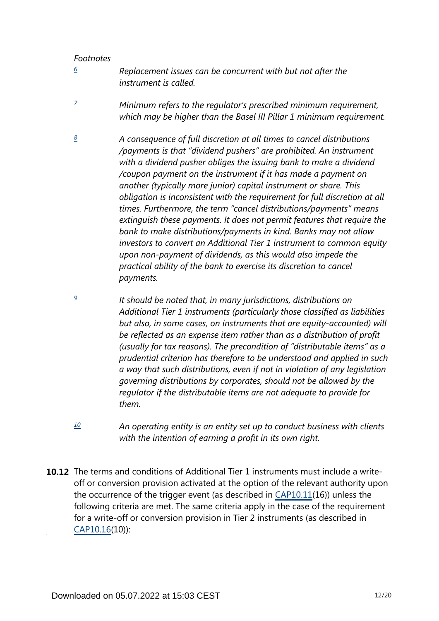<span id="page-11-3"></span>*[9](#page-8-1)*

- <span id="page-11-0"></span>*Replacement issues can be concurrent with but not after the instrument is called. [6](#page-7-0)*
- <span id="page-11-1"></span>*Minimum refers to the regulator's prescribed minimum requirement, which may be higher than the Basel III Pillar 1 minimum requirement. [7](#page-7-1)*
- <span id="page-11-2"></span>*A consequence of full discretion at all times to cancel distributions /payments is that "dividend pushers" are prohibited. An instrument with a dividend pusher obliges the issuing bank to make a dividend /coupon payment on the instrument if it has made a payment on another (typically more junior) capital instrument or share. This obligation is inconsistent with the requirement for full discretion at all times. Furthermore, the term "cancel distributions/payments" means extinguish these payments. It does not permit features that require the bank to make distributions/payments in kind. Banks may not allow investors to convert an Additional Tier 1 instrument to common equity upon non-payment of dividends, as this would also impede the practical ability of the bank to exercise its discretion to cancel payments. [8](#page-8-0)*
	- *It should be noted that, in many jurisdictions, distributions on Additional Tier 1 instruments (particularly those classified as liabilities but also, in some cases, on instruments that are equity-accounted) will be reflected as an expense item rather than as a distribution of profit (usually for tax reasons). The precondition of "distributable items" as a prudential criterion has therefore to be understood and applied in such a way that such distributions, even if not in violation of any legislation governing distributions by corporates, should not be allowed by the regulator if the distributable items are not adequate to provide for them.*
- *An operating entity is an entity set up to conduct business with clients with the intention of earning a profit in its own right. [10](#page-9-0)*
- <span id="page-11-4"></span>**10.12** The terms and conditions of Additional Tier 1 instruments must include a writeoff or conversion provision activated at the option of the relevant authority upon the occurrence of the trigger event (as described in [CAP10.11\(](https://www.bis.org/basel_framework/chapter/CAP/10.htm?tldate=20250101&inforce=20191215&published=20200605#paragraph_CAP_10_20191215_10_11)16)) unless the following criteria are met. The same criteria apply in the case of the requirement for a write-off or conversion provision in Tier 2 instruments (as described in [CAP10.16\(](https://www.bis.org/basel_framework/chapter/CAP/10.htm?tldate=20250101&inforce=20191215&published=20200605#paragraph_CAP_10_20191215_10_16)10)):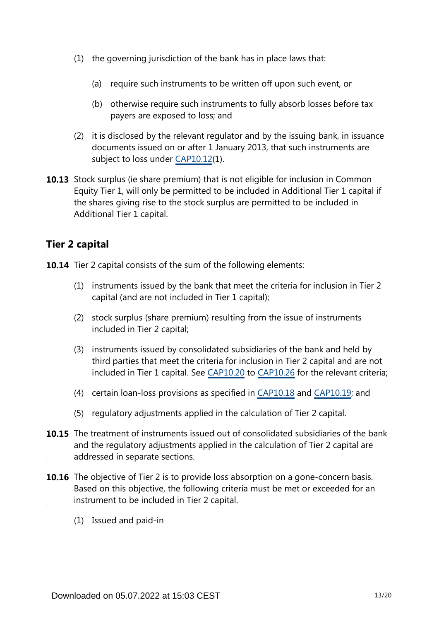- (1) the governing jurisdiction of the bank has in place laws that:
	- (a) require such instruments to be written off upon such event, or
	- (b) otherwise require such instruments to fully absorb losses before tax payers are exposed to loss; and
- (2) it is disclosed by the relevant regulator and by the issuing bank, in issuance documents issued on or after 1 January 2013, that such instruments are subject to loss under [CAP10.12](https://www.bis.org/basel_framework/chapter/CAP/10.htm?tldate=20250101&inforce=20191215&published=20200605#paragraph_CAP_10_20191215_10_12)(1).
- **10.13** Stock surplus (ie share premium) that is not eligible for inclusion in Common Equity Tier 1, will only be permitted to be included in Additional Tier 1 capital if the shares giving rise to the stock surplus are permitted to be included in Additional Tier 1 capital.

### **Tier 2 capital**

**10.14** Tier 2 capital consists of the sum of the following elements:

- (1) instruments issued by the bank that meet the criteria for inclusion in Tier 2 capital (and are not included in Tier 1 capital);
- (2) stock surplus (share premium) resulting from the issue of instruments included in Tier 2 capital;
- (3) instruments issued by consolidated subsidiaries of the bank and held by third parties that meet the criteria for inclusion in Tier 2 capital and are not included in Tier 1 capital. See [CAP10.20](https://www.bis.org/basel_framework/chapter/CAP/10.htm?tldate=20250101&inforce=20191215&published=20200605#paragraph_CAP_10_20191215_10_20) to [CAP10.26](https://www.bis.org/basel_framework/chapter/CAP/10.htm?tldate=20250101&inforce=20191215&published=20200605#paragraph_CAP_10_20191215_10_26) for the relevant criteria;
- (4) certain loan-loss provisions as specified in [CAP10.18](https://www.bis.org/basel_framework/chapter/CAP/10.htm?tldate=20250101&inforce=20191215&published=20200605#paragraph_CAP_10_20191215_10_18) and [CAP10.19;](https://www.bis.org/basel_framework/chapter/CAP/10.htm?tldate=20250101&inforce=20191215&published=20200605#paragraph_CAP_10_20191215_10_19) and
- (5) regulatory adjustments applied in the calculation of Tier 2 capital.
- **10.15** The treatment of instruments issued out of consolidated subsidiaries of the bank and the regulatory adjustments applied in the calculation of Tier 2 capital are addressed in separate sections.
- **10.16** The objective of Tier 2 is to provide loss absorption on a gone-concern basis. Based on this objective, the following criteria must be met or exceeded for an instrument to be included in Tier 2 capital.
	- (1) Issued and paid-in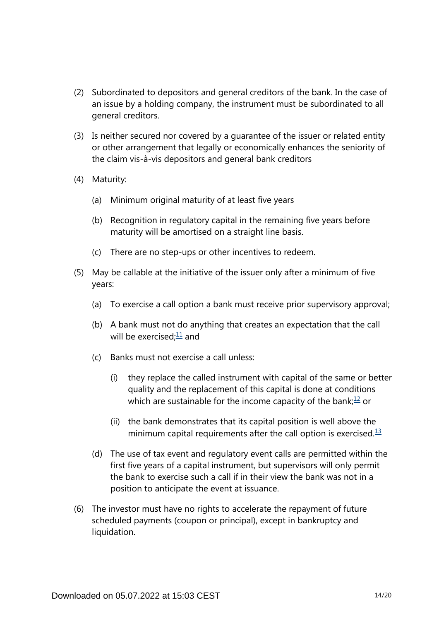- (2) Subordinated to depositors and general creditors of the bank. In the case of an issue by a holding company, the instrument must be subordinated to all general creditors.
- (3) Is neither secured nor covered by a guarantee of the issuer or related entity or other arrangement that legally or economically enhances the seniority of the claim vis-à-vis depositors and general bank creditors
- (4) Maturity:
	- (a) Minimum original maturity of at least five years
	- (b) Recognition in regulatory capital in the remaining five years before maturity will be amortised on a straight line basis.
	- (c) There are no step-ups or other incentives to redeem.
- <span id="page-13-0"></span>(5) May be callable at the initiative of the issuer only after a minimum of five years:
	- (a) To exercise a call option a bank must receive prior supervisory approval;
	- (b) A bank must not do anything that creates an expectation that the call will be exercised: $\frac{11}{2}$  $\frac{11}{2}$  $\frac{11}{2}$  and
	- (c) Banks must not exercise a call unless:
		- (i) they replace the called instrument with capital of the same or better quality and the replacement of this capital is done at conditions which are sustainable for the income capacity of the bank; $\frac{12}{1}$  $\frac{12}{1}$  $\frac{12}{1}$  or
		- (ii) the bank demonstrates that its capital position is well above the minimum capital requirements after the call option is exercised. $13$
	- (d) The use of tax event and regulatory event calls are permitted within the first five years of a capital instrument, but supervisors will only permit the bank to exercise such a call if in their view the bank was not in a position to anticipate the event at issuance.
- <span id="page-13-2"></span><span id="page-13-1"></span>(6) The investor must have no rights to accelerate the repayment of future scheduled payments (coupon or principal), except in bankruptcy and liquidation.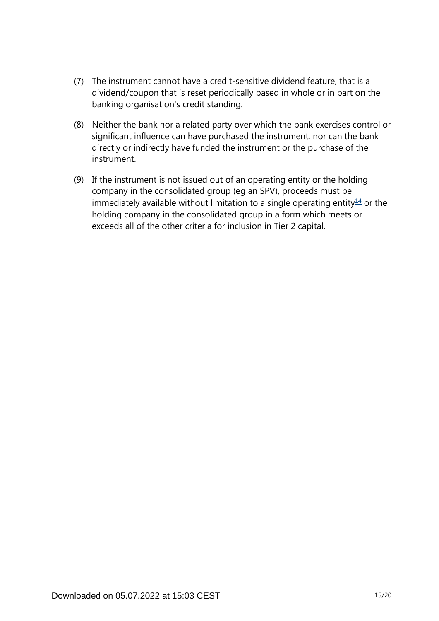- (7) The instrument cannot have a credit-sensitive dividend feature, that is a dividend/coupon that is reset periodically based in whole or in part on the banking organisation's credit standing.
- (8) Neither the bank nor a related party over which the bank exercises control or significant influence can have purchased the instrument, nor can the bank directly or indirectly have funded the instrument or the purchase of the instrument.
- <span id="page-14-0"></span>(9) If the instrument is not issued out of an operating entity or the holding company in the consolidated group (eg an SPV), proceeds must be immediately available without limitation to a single operating entity $\frac{14}{1}$  $\frac{14}{1}$  $\frac{14}{1}$  or the holding company in the consolidated group in a form which meets or exceeds all of the other criteria for inclusion in Tier 2 capital.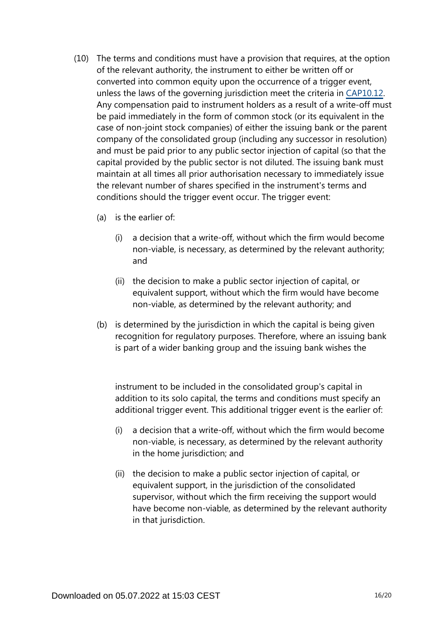- (10) The terms and conditions must have a provision that requires, at the option of the relevant authority, the instrument to either be written off or converted into common equity upon the occurrence of a trigger event, unless the laws of the governing jurisdiction meet the criteria in [CAP10.12.](https://www.bis.org/basel_framework/chapter/CAP/10.htm?tldate=20250101&inforce=20191215&published=20200605#paragraph_CAP_10_20191215_10_12) Any compensation paid to instrument holders as a result of a write-off must be paid immediately in the form of common stock (or its equivalent in the case of non-joint stock companies) of either the issuing bank or the parent company of the consolidated group (including any successor in resolution) and must be paid prior to any public sector injection of capital (so that the capital provided by the public sector is not diluted. The issuing bank must maintain at all times all prior authorisation necessary to immediately issue the relevant number of shares specified in the instrument's terms and conditions should the trigger event occur. The trigger event:
	- (a) is the earlier of:
		- (i) a decision that a write-off, without which the firm would become non-viable, is necessary, as determined by the relevant authority; and
		- (ii) the decision to make a public sector injection of capital, or equivalent support, without which the firm would have become non-viable, as determined by the relevant authority; and
	- (b) is determined by the jurisdiction in which the capital is being given recognition for regulatory purposes. Therefore, where an issuing bank is part of a wider banking group and the issuing bank wishes the

instrument to be included in the consolidated group's capital in addition to its solo capital, the terms and conditions must specify an additional trigger event. This additional trigger event is the earlier of:

- (i) a decision that a write-off, without which the firm would become non-viable, is necessary, as determined by the relevant authority in the home jurisdiction; and
- (ii) the decision to make a public sector injection of capital, or equivalent support, in the jurisdiction of the consolidated supervisor, without which the firm receiving the support would have become non-viable, as determined by the relevant authority in that jurisdiction.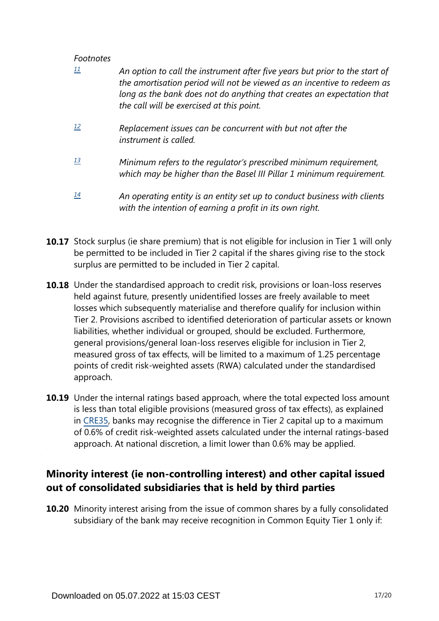<span id="page-16-1"></span><span id="page-16-0"></span>

|    | An option to call the instrument after five years but prior to the start of<br>the amortisation period will not be viewed as an incentive to redeem as<br>long as the bank does not do anything that creates an expectation that<br>the call will be exercised at this point. |
|----|-------------------------------------------------------------------------------------------------------------------------------------------------------------------------------------------------------------------------------------------------------------------------------|
| 12 | Replacement issues can be concurrent with but not after the<br>instrument is called.                                                                                                                                                                                          |
| 13 | Minimum refers to the regulator's prescribed minimum requirement,<br>which may be higher than the Basel III Pillar 1 minimum requirement.                                                                                                                                     |
| 14 | An operating entity is an entity set up to conduct business with clients<br>with the intention of earning a profit in its own right.                                                                                                                                          |

- <span id="page-16-3"></span><span id="page-16-2"></span>**10.17** Stock surplus (ie share premium) that is not eligible for inclusion in Tier 1 will only be permitted to be included in Tier 2 capital if the shares giving rise to the stock surplus are permitted to be included in Tier 2 capital.
- **10.18** Under the standardised approach to credit risk, provisions or loan-loss reserves held against future, presently unidentified losses are freely available to meet losses which subsequently materialise and therefore qualify for inclusion within Tier 2. Provisions ascribed to identified deterioration of particular assets or known liabilities, whether individual or grouped, should be excluded. Furthermore, general provisions/general loan-loss reserves eligible for inclusion in Tier 2, measured gross of tax effects, will be limited to a maximum of 1.25 percentage points of credit risk-weighted assets (RWA) calculated under the standardised approach.
- **10.19** Under the internal ratings based approach, where the total expected loss amount is less than total eligible provisions (measured gross of tax effects), as explained in [CRE35,](https://www.bis.org/basel_framework/chapter/CRE/35.htm?tldate=20250101&inforce=20230101&published=20200327) banks may recognise the difference in Tier 2 capital up to a maximum of 0.6% of credit risk-weighted assets calculated under the internal ratings-based approach. At national discretion, a limit lower than 0.6% may be applied.

## **Minority interest (ie non-controlling interest) and other capital issued out of consolidated subsidiaries that is held by third parties**

**10.20** Minority interest arising from the issue of common shares by a fully consolidated subsidiary of the bank may receive recognition in Common Equity Tier 1 only if: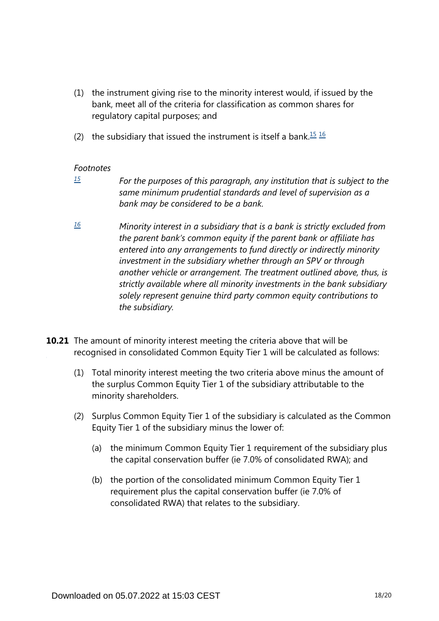- (1) the instrument giving rise to the minority interest would, if issued by the bank, meet all of the criteria for classification as common shares for regulatory capital purposes; and
- <span id="page-17-2"></span>(2) the subsidiary that issued the instrument is itself a bank.<sup>[15](#page-17-0)</sup>  $16$

<span id="page-17-0"></span>*[15](#page-17-2)*

*For the purposes of this paragraph, any institution that is subject to the same minimum prudential standards and level of supervision as a bank may be considered to be a bank.*

- <span id="page-17-1"></span>*Minority interest in a subsidiary that is a bank is strictly excluded from the parent bank's common equity if the parent bank or affiliate has entered into any arrangements to fund directly or indirectly minority investment in the subsidiary whether through an SPV or through another vehicle or arrangement. The treatment outlined above, thus, is strictly available where all minority investments in the bank subsidiary solely represent genuine third party common equity contributions to the subsidiary. [16](#page-17-2)*
- **10.21** The amount of minority interest meeting the criteria above that will be recognised in consolidated Common Equity Tier 1 will be calculated as follows:
	- (1) Total minority interest meeting the two criteria above minus the amount of the surplus Common Equity Tier 1 of the subsidiary attributable to the minority shareholders.
	- (2) Surplus Common Equity Tier 1 of the subsidiary is calculated as the Common Equity Tier 1 of the subsidiary minus the lower of:
		- (a) the minimum Common Equity Tier 1 requirement of the subsidiary plus the capital conservation buffer (ie 7.0% of consolidated RWA); and
		- (b) the portion of the consolidated minimum Common Equity Tier 1 requirement plus the capital conservation buffer (ie 7.0% of consolidated RWA) that relates to the subsidiary.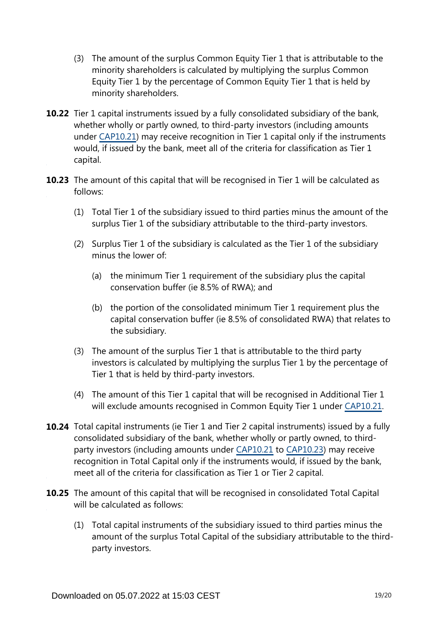- (3) The amount of the surplus Common Equity Tier 1 that is attributable to the minority shareholders is calculated by multiplying the surplus Common Equity Tier 1 by the percentage of Common Equity Tier 1 that is held by minority shareholders.
- **10.22** Tier 1 capital instruments issued by a fully consolidated subsidiary of the bank, whether wholly or partly owned, to third-party investors (including amounts under [CAP10.21\)](https://www.bis.org/basel_framework/chapter/CAP/10.htm?tldate=20250101&inforce=20191215&published=20200605#paragraph_CAP_10_20191215_10_21) may receive recognition in Tier 1 capital only if the instruments would, if issued by the bank, meet all of the criteria for classification as Tier 1 capital.
- **10.23** The amount of this capital that will be recognised in Tier 1 will be calculated as follows:
	- (1) Total Tier 1 of the subsidiary issued to third parties minus the amount of the surplus Tier 1 of the subsidiary attributable to the third-party investors.
	- (2) Surplus Tier 1 of the subsidiary is calculated as the Tier 1 of the subsidiary minus the lower of:
		- (a) the minimum Tier 1 requirement of the subsidiary plus the capital conservation buffer (ie 8.5% of RWA); and
		- (b) the portion of the consolidated minimum Tier 1 requirement plus the capital conservation buffer (ie 8.5% of consolidated RWA) that relates to the subsidiary.
	- (3) The amount of the surplus Tier 1 that is attributable to the third party investors is calculated by multiplying the surplus Tier 1 by the percentage of Tier 1 that is held by third-party investors.
	- (4) The amount of this Tier 1 capital that will be recognised in Additional Tier 1 will exclude amounts recognised in Common Equity Tier 1 under [CAP10.21](https://www.bis.org/basel_framework/chapter/CAP/10.htm?tldate=20250101&inforce=20191215&published=20200605#paragraph_CAP_10_20191215_10_21).
- **10.24** Total capital instruments (ie Tier 1 and Tier 2 capital instruments) issued by a fully consolidated subsidiary of the bank, whether wholly or partly owned, to thirdparty investors (including amounts under [CAP10.21](https://www.bis.org/basel_framework/chapter/CAP/10.htm?tldate=20250101&inforce=20191215&published=20200605#paragraph_CAP_10_20191215_10_21) to [CAP10.23\)](https://www.bis.org/basel_framework/chapter/CAP/10.htm?tldate=20250101&inforce=20191215&published=20200605#paragraph_CAP_10_20191215_10_23) may receive recognition in Total Capital only if the instruments would, if issued by the bank, meet all of the criteria for classification as Tier 1 or Tier 2 capital.
- **10.25** The amount of this capital that will be recognised in consolidated Total Capital will be calculated as follows:
	- (1) Total capital instruments of the subsidiary issued to third parties minus the amount of the surplus Total Capital of the subsidiary attributable to the thirdparty investors.